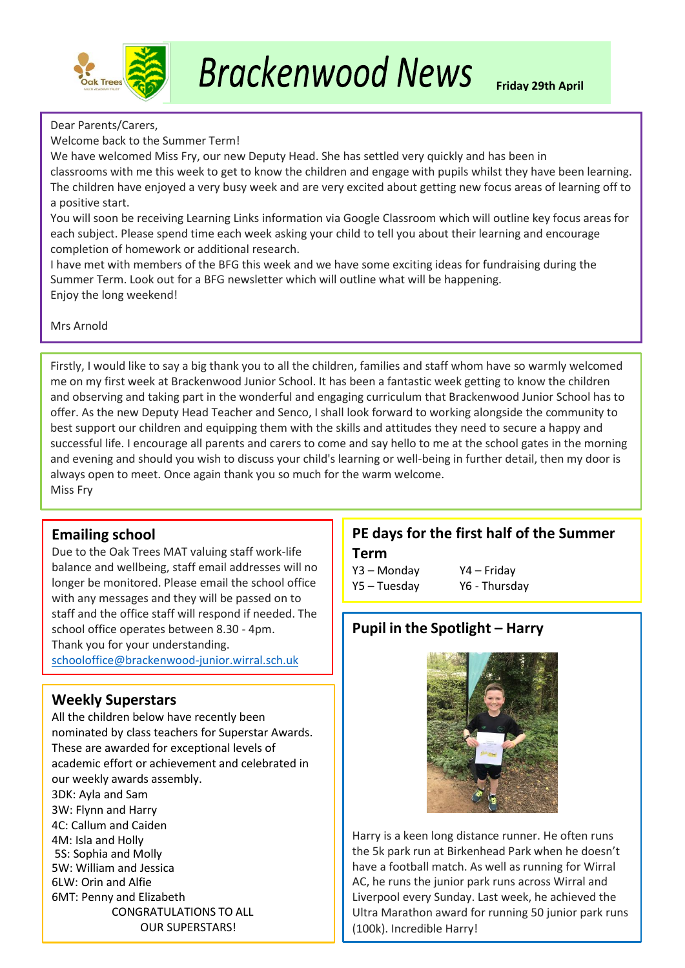

### Dear Parents/Carers,

Welcome back to the Summer Term!

We have welcomed Miss Fry, our new Deputy Head. She has settled very quickly and has been in classrooms with me this week to get to know the children and engage with pupils whilst they have been learning. The children have enjoyed a very busy week and are very excited about getting new focus areas of learning off to a positive start.

You will soon be receiving Learning Links information via Google Classroom which will outline key focus areas for each subject. Please spend time each week asking your child to tell you about their learning and encourage completion of homework or additional research.

I have met with members of the BFG this week and we have some exciting ideas for fundraising during the Summer Term. Look out for a BFG newsletter which will outline what will be happening. Enjoy the long weekend!

Mrs Arnold

Firstly, I would like to say a big thank you to all the children, families and staff whom have so warmly welcomed me on my first week at Brackenwood Junior School. It has been a fantastic week getting to know the children and observing and taking part in the wonderful and engaging curriculum that Brackenwood Junior School has to offer. As the new Deputy Head Teacher and Senco, I shall look forward to working alongside the community to best support our children and equipping them with the skills and attitudes they need to secure a happy and successful life. I encourage all parents and carers to come and say hello to me at the school gates in the morning and evening and should you wish to discuss your child's learning or well-being in further detail, then my door is always open to meet. Once again thank you so much for the warm welcome. Miss Fry

### **Emailing school**

Due to the Oak Trees MAT valuing staff work-life balance and wellbeing, staff email addresses will no longer be monitored. Please email the school office with any messages and they will be passed on to staff and the office staff will respond if needed. The school office operates between 8.30 - 4pm. Thank you for your understanding. [schooloffice@brackenwood-junior.wirral.sch.uk](mailto:schooloffice@brackenwood-junior.wirral.sch.uk)

### **Weekly Superstars**

All the children below have recently been nominated by class teachers for Superstar Awards. These are awarded for exceptional levels of academic effort or achievement and celebrated in our weekly awards assembly. 3DK: Ayla and Sam 3W: Flynn and Harry 4C: Callum and Caiden 4M: Isla and Holly 5S: Sophia and Molly 5W: William and Jessica 6LW: Orin and Alfie 6MT: Penny and Elizabeth CONGRATULATIONS TO ALL OUR SUPERSTARS!

# **PE days for the first half of the Summer**

**Term** Y3 – Monday Y4 – Friday

Y5 – Tuesday Y6 - Thursday

# **Pupil in the Spotlight – Harry**



Harry is a keen long distance runner. He often runs the 5k park run at Birkenhead Park when he doesn't have a football match. As well as running for Wirral AC, he runs the junior park runs across Wirral and Liverpool every Sunday. Last week, he achieved the Ultra Marathon award for running 50 junior park runs (100k). Incredible Harry!